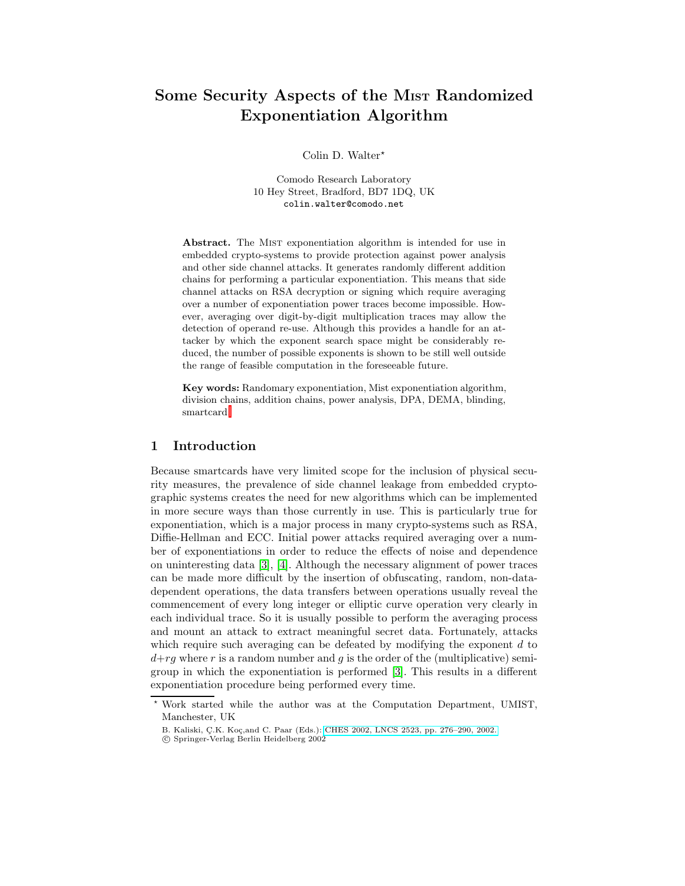# Some Security Aspects of the MIST Randomized Exponentiation Algorithm

Colin D. Walter\*

Comodo Research Laboratory 10 Hey Street, Bradford, BD7 1DQ, UK colin.walter@comodo.net

Abstract. The MIST exponentiation algorithm is intended for use in embedded crypto-systems to provide protection against power analysis and other side channel attacks. It generates randomly different addition chains for performing a particular exponentiation. This means that side channel attacks on RSA decryption or signing which require averaging over a number of exponentiation power traces become impossible. However, averaging over digit-by-digit multiplication traces may allow the detection of operand re-use. Although this provides a handle for an attacker by which the exponent search space might be considerably reduced, the number of possible exponents is shown to be still well outside the range of feasible computation in the foreseeable future.

Key words: Randomary exponentiation, Mist exponentiation algorithm, division chains, addition chains, power analysis, DPA, DEMA, blinding, smartcard[.](#page-0-0)

## 1 Introduction

Because smartcards have very limited scope for the inclusion of physical security measures, the prevalence of side channel leakage from embedded cryptographic systems creates the need for new algorithms which can be implemented in more secure ways than those currently in use. This is particularly true for exponentiation, which is a major process in many crypto-systems such as RSA, Diffie-Hellman and ECC. Initial power attacks required averaging over a number of exponentiations in order to reduce the effects of noise and dependence on uninteresting data [\[3\]](#page-13-0), [\[4\]](#page-13-1). Although the necessary alignment of power traces can be made more difficult by the insertion of obfuscating, random, non-datadependent operations, the data transfers between operations usually reveal the commencement of every long integer or elliptic curve operation very clearly in each individual trace. So it is usually possible to perform the averaging process and mount an attack to extract meaningful secret data. Fortunately, attacks which require such averaging can be defeated by modifying the exponent  $d$  to  $d+rq$  where r is a random number and q is the order of the (multiplicative) semigroup in which the exponentiation is performed [\[3\]](#page-13-0). This results in a different exponentiation procedure being performed every time.

<sup>?</sup> Work started while the author was at the Computation Department, UMIST, Manchester, UK

B. Kaliski, C.K. Koç,and C. Paar (Eds.): [CHES 2002, LNCS 2523, pp. 276–290, 2002.](http://www.springerlink.com/content/9y158f77brxgbnwp.pdf)

<span id="page-0-0"></span>c Springer-Verlag Berlin Heidelberg 2002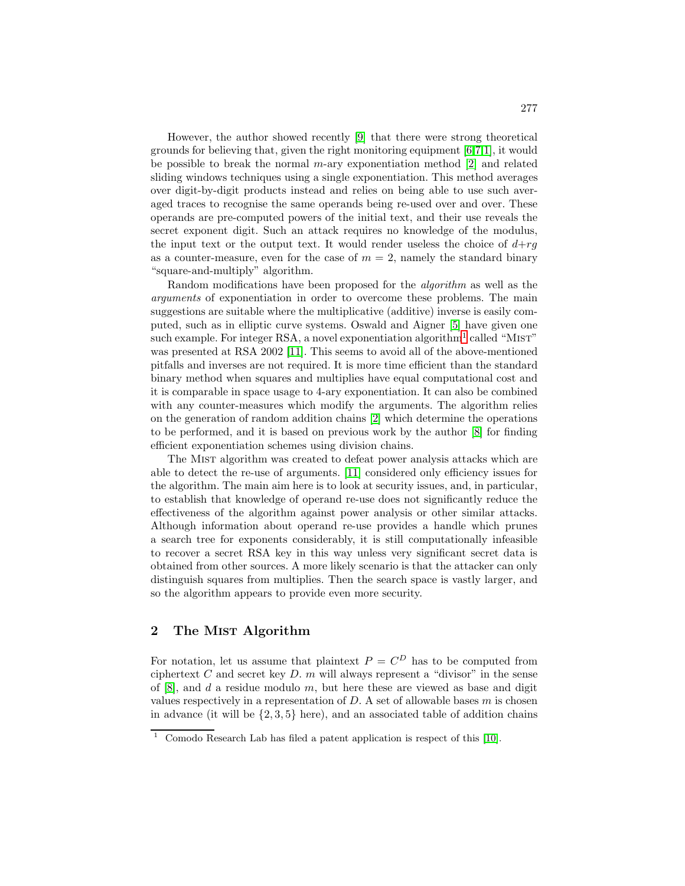However, the author showed recently [\[9\]](#page-14-0) that there were strong theoretical grounds for believing that, given the right monitoring equipment [\[6,](#page-14-1)[7,](#page-14-2)[1\]](#page-13-2), it would be possible to break the normal  $m$ -ary exponentiation method  $[2]$  and related sliding windows techniques using a single exponentiation. This method averages over digit-by-digit products instead and relies on being able to use such averaged traces to recognise the same operands being re-used over and over. These operands are pre-computed powers of the initial text, and their use reveals the secret exponent digit. Such an attack requires no knowledge of the modulus, the input text or the output text. It would render useless the choice of  $d+rg$ as a counter-measure, even for the case of  $m = 2$ , namely the standard binary "square-and-multiply" algorithm.

Random modifications have been proposed for the algorithm as well as the arguments of exponentiation in order to overcome these problems. The main suggestions are suitable where the multiplicative (additive) inverse is easily computed, such as in elliptic curve systems. Oswald and Aigner [\[5\]](#page-13-4) have given one such example. For integer RSA, a novel exponentiation algorithm<sup>[1](#page-1-0)</sup> called "MIST" was presented at RSA 2002 [\[11\]](#page-14-3). This seems to avoid all of the above-mentioned pitfalls and inverses are not required. It is more time efficient than the standard binary method when squares and multiplies have equal computational cost and it is comparable in space usage to 4-ary exponentiation. It can also be combined with any counter-measures which modify the arguments. The algorithm relies on the generation of random addition chains [\[2\]](#page-13-3) which determine the operations to be performed, and it is based on previous work by the author [\[8\]](#page-14-4) for finding efficient exponentiation schemes using division chains.

The Mist algorithm was created to defeat power analysis attacks which are able to detect the re-use of arguments. [\[11\]](#page-14-3) considered only efficiency issues for the algorithm. The main aim here is to look at security issues, and, in particular, to establish that knowledge of operand re-use does not significantly reduce the effectiveness of the algorithm against power analysis or other similar attacks. Although information about operand re-use provides a handle which prunes a search tree for exponents considerably, it is still computationally infeasible to recover a secret RSA key in this way unless very significant secret data is obtained from other sources. A more likely scenario is that the attacker can only distinguish squares from multiplies. Then the search space is vastly larger, and so the algorithm appears to provide even more security.

# 2 The MIST Algorithm

For notation, let us assume that plaintext  $P = C^D$  has to be computed from ciphertext  $C$  and secret key  $D$ .  $m$  will always represent a "divisor" in the sense of  $[8]$ , and d a residue modulo m, but here these are viewed as base and digit values respectively in a representation of  $D$ . A set of allowable bases  $m$  is chosen in advance (it will be  $\{2,3,5\}$  here), and an associated table of addition chains

<span id="page-1-0"></span><sup>&</sup>lt;sup>1</sup> Comodo Research Lab has filed a patent application is respect of this [\[10\]](#page-14-5).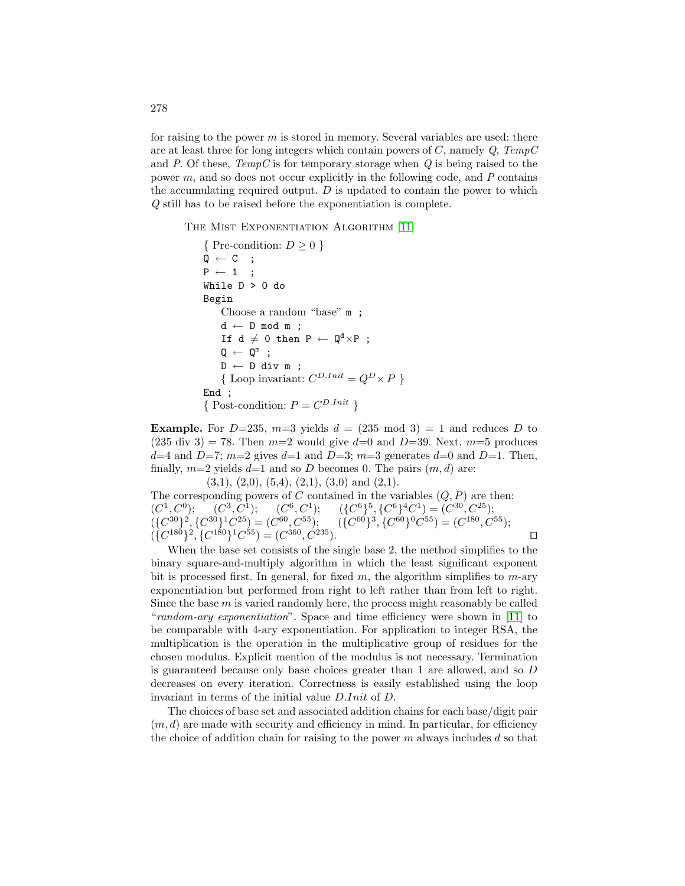for raising to the power  $m$  is stored in memory. Several variables are used: there are at least three for long integers which contain powers of  $C$ , namely  $Q$ ,  $TempC$ and P. Of these,  $TempC$  is for temporary storage when Q is being raised to the power  $m$ , and so does not occur explicitly in the following code, and  $P$  contains the accumulating required output.  $D$  is updated to contain the power to which Q still has to be raised before the exponentiation is complete.

THE MIST EXPONENTIATION ALGORITHM [\[11\]](#page-14-3)

{ Pre-condition:  $D > 0$  }  $Q \leftarrow C$ ;  $P \leftarrow 1$ While D > 0 do Begin Choose a random "base" m ;  $d \leftarrow D \mod m$ ; If  $d \neq 0$  then  $P \leftarrow Q^d \times P$ ;  $\mathbf{Q} \leftarrow \stackrel{\cdot}{\mathbf{Q}^{\mathfrak{m}}}$  ;  $D \leftarrow D$  div m; {Loop invariant:  $C^{D.Init} = Q^D \times P$  } End ; { Post-condition:  $P = C^{D.Init}$  }

**Example.** For  $D=235$ ,  $m=3$  yields  $d = (235 \mod 3) = 1$  and reduces D to  $(235 \text{ div } 3) = 78$ . Then  $m=2$  would give  $d=0$  and  $D=39$ . Next,  $m=5$  produces  $d=4$  and  $D=7$ ;  $m=2$  gives  $d=1$  and  $D=3$ ;  $m=3$  generates  $d=0$  and  $D=1$ . Then, finally,  $m=2$  yields  $d=1$  and so D becomes 0. The pairs  $(m, d)$  are:

 $(3,1), (2,0), (5,4), (2,1), (3,0)$  and  $(2,1)$ . The corresponding powers of C contained in the variables  $(Q, P)$  are then:<br>  $(C^1, C^0)$ ;  $(C^3, C^1)$ ;  $(C^6, C^1)$ ;  $({C^6})^5, {C^6})^4C^1 = (C^{30}, C^{25})$ ;  $(C^1, C^0);$   $(C^3, C^1);$   $(C^6, C^1)$ );  $({C}^{6})^5, {C}^{6})^4C^1$  =  $(C^{30}, C^{25})$ ;  $({C^{30}}^2, {C^{30}}^1C^{25}) = (C^{60}, C^{55});$  ({C  ${^{60}}^3$ ,  ${C^{60}}^0C^{55}$  =  $(C^{180}, C^{55})$ ;  $({C^{180}})^2, {C^{180}}^1C^{55}) = (C^{360}, C^{235}).$ 

When the base set consists of the single base 2, the method simplifies to the binary square-and-multiply algorithm in which the least significant exponent bit is processed first. In general, for fixed  $m$ , the algorithm simplifies to  $m$ -ary exponentiation but performed from right to left rather than from left to right. Since the base  $m$  is varied randomly here, the process might reasonably be called "random-ary exponentiation". Space and time efficiency were shown in [\[11\]](#page-14-3) to be comparable with 4-ary exponentiation. For application to integer RSA, the multiplication is the operation in the multiplicative group of residues for the chosen modulus. Explicit mention of the modulus is not necessary. Termination is guaranteed because only base choices greater than 1 are allowed, and so D decreases on every iteration. Correctness is easily established using the loop invariant in terms of the initial value D.Init of D.

The choices of base set and associated addition chains for each base/digit pair  $(m, d)$  are made with security and efficiency in mind. In particular, for efficiency the choice of addition chain for raising to the power  $m$  always includes  $d$  so that

278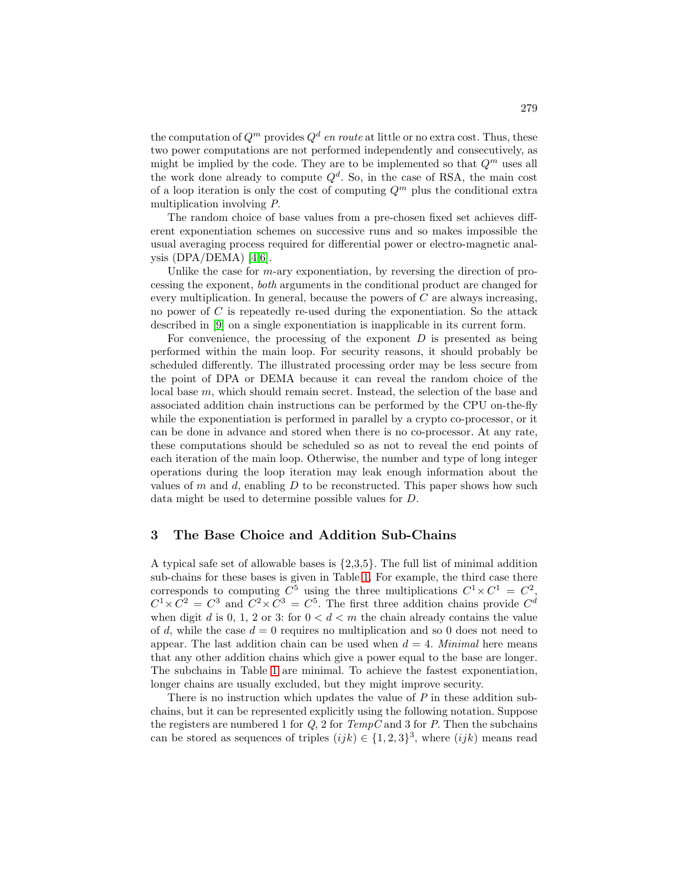the computation of  $Q^m$  provides  $Q^d$  en route at little or no extra cost. Thus, these two power computations are not performed independently and consecutively, as might be implied by the code. They are to be implemented so that  $Q^m$  uses all the work done already to compute  $Q<sup>d</sup>$ . So, in the case of RSA, the main cost of a loop iteration is only the cost of computing  $Q^m$  plus the conditional extra multiplication involving P.

The random choice of base values from a pre-chosen fixed set achieves different exponentiation schemes on successive runs and so makes impossible the usual averaging process required for differential power or electro-magnetic analysis  $(DPA/DEMA)$  [\[4,](#page-13-1)[6\]](#page-14-1).

Unlike the case for  $m$ -ary exponentiation, by reversing the direction of processing the exponent, both arguments in the conditional product are changed for every multiplication. In general, because the powers of C are always increasing, no power of C is repeatedly re-used during the exponentiation. So the attack described in [\[9\]](#page-14-0) on a single exponentiation is inapplicable in its current form.

For convenience, the processing of the exponent  $D$  is presented as being performed within the main loop. For security reasons, it should probably be scheduled differently. The illustrated processing order may be less secure from the point of DPA or DEMA because it can reveal the random choice of the local base m, which should remain secret. Instead, the selection of the base and associated addition chain instructions can be performed by the CPU on-the-fly while the exponentiation is performed in parallel by a crypto co-processor, or it can be done in advance and stored when there is no co-processor. At any rate, these computations should be scheduled so as not to reveal the end points of each iteration of the main loop. Otherwise, the number and type of long integer operations during the loop iteration may leak enough information about the values of  $m$  and  $d$ , enabling  $D$  to be reconstructed. This paper shows how such data might be used to determine possible values for D.

#### 3 The Base Choice and Addition Sub-Chains

A typical safe set of allowable bases is {2,3,5}. The full list of minimal addition sub-chains for these bases is given in Table [1.](#page-4-0) For example, the third case there corresponds to computing  $C^5$  using the three multiplications  $C^1 \times C^1 = C^2$ ,  $C^1 \times C^2 = C^3$  and  $C^2 \times C^3 = C^5$ . The first three addition chains provide  $C^d$ when digit d is 0, 1, 2 or 3: for  $0 < d < m$  the chain already contains the value of d, while the case  $d = 0$  requires no multiplication and so 0 does not need to appear. The last addition chain can be used when  $d = 4$ . Minimal here means that any other addition chains which give a power equal to the base are longer. The subchains in Table [1](#page-4-0) are minimal. To achieve the fastest exponentiation, longer chains are usually excluded, but they might improve security.

There is no instruction which updates the value of  $P$  in these addition subchains, but it can be represented explicitly using the following notation. Suppose the registers are numbered 1 for  $Q$ , 2 for  $TempC$  and 3 for P. Then the subchains can be stored as sequences of triples  $(ijk) \in \{1,2,3\}^3$ , where  $(ijk)$  means read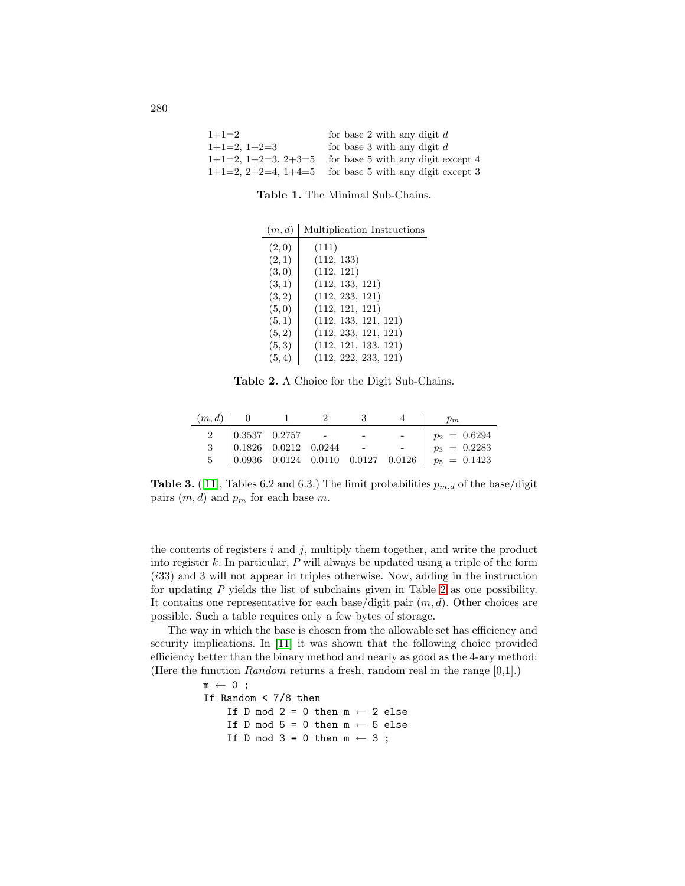| $1+1=2$        | for base 2 with any digit $d$                                  |
|----------------|----------------------------------------------------------------|
| $1+1=2, 1+2=3$ | for base 3 with any digit $d$                                  |
|                | $1+1=2$ , $1+2=3$ , $2+3=5$ for base 5 with any digit except 4 |
|                | $1+1=2$ , $2+2=4$ , $1+4=5$ for base 5 with any digit except 3 |

<span id="page-4-0"></span>Table 1. The Minimal Sub-Chains.

 $(m, d)$  Multiplication Instructions

| (111)                |
|----------------------|
| (112, 133)           |
| (112, 121)           |
| (112, 133, 121)      |
| (112, 233, 121)      |
| (112, 121, 121)      |
| (112, 133, 121, 121) |
| (112, 233, 121, 121) |
| (112, 121, 133, 121) |
| (112, 222, 233, 121) |
|                      |

<span id="page-4-1"></span>Table 2. A Choice for the Digit Sub-Chains.

| (m,d) |  |  | $p_m$                                                                                                                                                                                                      |
|-------|--|--|------------------------------------------------------------------------------------------------------------------------------------------------------------------------------------------------------------|
|       |  |  | $\begin{array}{ c cccc } 0.3537 & 0.2757 & - & - & - & - & p_2 & = 0.6294 \\ 0.1826 & 0.0212 & 0.0244 & - & - & p_3 & = 0.2283 \\ 0.0936 & 0.0124 & 0.0110 & 0.0127 & 0.0126 & p_5 & = 0.1423 \end{array}$ |
|       |  |  |                                                                                                                                                                                                            |
|       |  |  |                                                                                                                                                                                                            |

<span id="page-4-2"></span>**Table 3.** ([\[11\]](#page-14-3), Tables 6.2 and 6.3.) The limit probabilities  $p_{m,d}$  of the base/digit pairs  $(m, d)$  and  $p_m$  for each base m.

the contents of registers  $i$  and  $j$ , multiply them together, and write the product into register  $k$ . In particular,  $P$  will always be updated using a triple of the form (i33) and 3 will not appear in triples otherwise. Now, adding in the instruction for updating P yields the list of subchains given in Table [2](#page-4-1) as one possibility. It contains one representative for each base/digit pair  $(m, d)$ . Other choices are possible. Such a table requires only a few bytes of storage.

The way in which the base is chosen from the allowable set has efficiency and security implications. In [\[11\]](#page-14-3) it was shown that the following choice provided efficiency better than the binary method and nearly as good as the 4-ary method: (Here the function Random returns a fresh, random real in the range [0,1].)

> $m \leftarrow 0$ ; If Random < 7/8 then If D mod 2 = 0 then  $m \leftarrow 2$  else If D mod  $5 = 0$  then  $m \leftarrow 5$  else If D mod  $3 = 0$  then  $m \leftarrow 3$ ;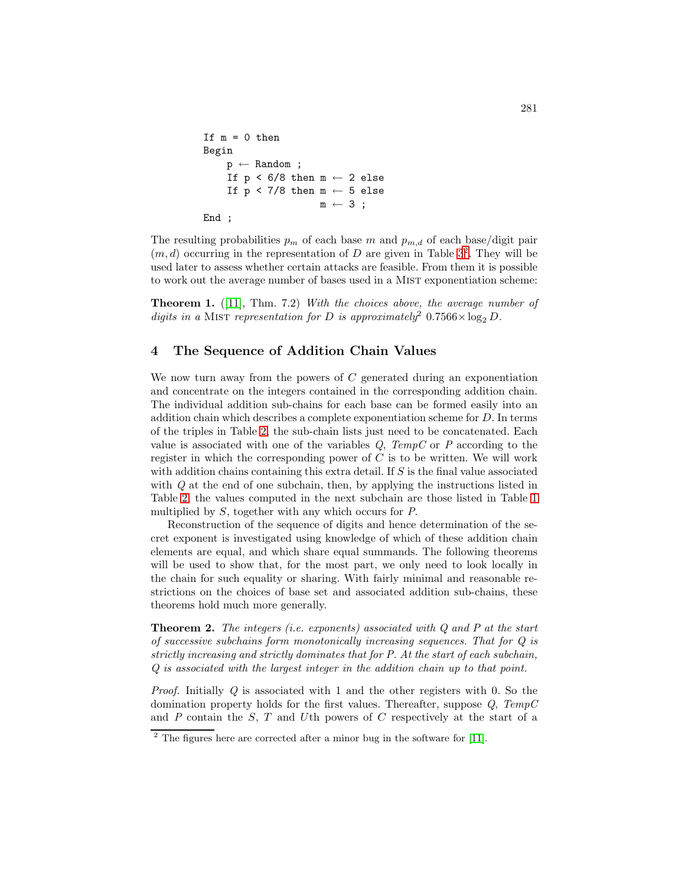```
If m = 0 then
Begin
     p \leftarrow Random;
     If p < 6/8 then m \leftarrow 2 else
     If p < 7/8 then m \leftarrow 5 else
                           m \leftarrow 3 ;
End ;
```
The resulting probabilities  $p_m$  of each base m and  $p_{m,d}$  of each base/digit pair  $(m, d)$  occurring in the representation of D are given in Table  $3^2$  $3^2$ . They will be used later to assess whether certain attacks are feasible. From them it is possible to work out the average number of bases used in a Mist exponentiation scheme:

<span id="page-5-1"></span>Theorem 1. ([\[11\]](#page-14-3), Thm. 7.2) With the choices above, the average number of digits in a MIST representation for D is approximately  $2 \cdot 0.7566 \times \log_2 D$ .

## 4 The Sequence of Addition Chain Values

We now turn away from the powers of C generated during an exponentiation and concentrate on the integers contained in the corresponding addition chain. The individual addition sub-chains for each base can be formed easily into an addition chain which describes a complete exponentiation scheme for D. In terms of the triples in Table [2,](#page-4-1) the sub-chain lists just need to be concatenated. Each value is associated with one of the variables  $Q$ ,  $TempC$  or  $P$  according to the register in which the corresponding power of  $C$  is to be written. We will work with addition chains containing this extra detail. If  $S$  is the final value associated with  $Q$  at the end of one subchain, then, by applying the instructions listed in Table [2,](#page-4-1) the values computed in the next subchain are those listed in Table [1](#page-4-0) multiplied by  $S$ , together with any which occurs for  $P$ .

Reconstruction of the sequence of digits and hence determination of the secret exponent is investigated using knowledge of which of these addition chain elements are equal, and which share equal summands. The following theorems will be used to show that, for the most part, we only need to look locally in the chain for such equality or sharing. With fairly minimal and reasonable restrictions on the choices of base set and associated addition sub-chains, these theorems hold much more generally.

**Theorem 2.** The integers (i.e. exponents) associated with Q and P at the start of successive subchains form monotonically increasing sequences. That for Q is strictly increasing and strictly dominates that for P. At the start of each subchain, Q is associated with the largest integer in the addition chain up to that point.

Proof. Initially Q is associated with 1 and the other registers with 0. So the domination property holds for the first values. Thereafter, suppose  $Q$ ,  $TempC$ and  $P$  contain the  $S$ ,  $T$  and  $U$ th powers of  $C$  respectively at the start of a

<span id="page-5-0"></span> $2$  The figures here are corrected after a minor bug in the software for [\[11\]](#page-14-3).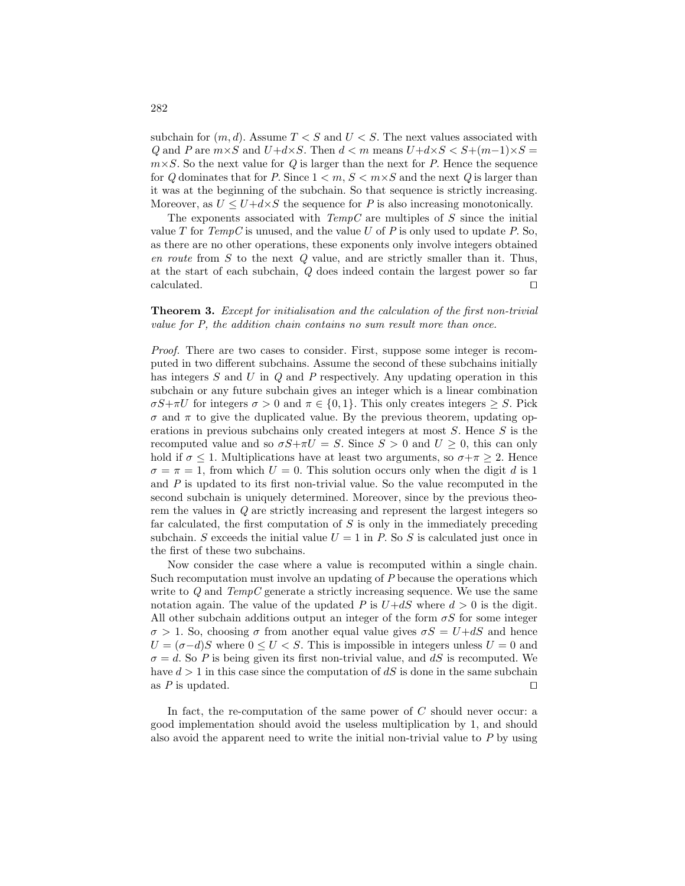subchain for  $(m, d)$ . Assume  $T < S$  and  $U < S$ . The next values associated with Q and P are  $m \times S$  and  $U+d \times S$ . Then  $d < m$  means  $U+d \times S < S+(m-1)\times S =$  $m \times S$ . So the next value for Q is larger than the next for P. Hence the sequence for Q dominates that for P. Since  $1 < m, S < m \times S$  and the next Q is larger than it was at the beginning of the subchain. So that sequence is strictly increasing. Moreover, as  $U \leq U + d \times S$  the sequence for P is also increasing monotonically.

The exponents associated with  $TempC$  are multiples of S since the initial value T for  $TempC$  is unused, and the value U of P is only used to update P. So, as there are no other operations, these exponents only involve integers obtained en route from  $S$  to the next  $Q$  value, and are strictly smaller than it. Thus, at the start of each subchain, Q does indeed contain the largest power so far calculated.  $\hfill \Box$ 

## <span id="page-6-0"></span>Theorem 3. Except for initialisation and the calculation of the first non-trivial value for P, the addition chain contains no sum result more than once.

Proof. There are two cases to consider. First, suppose some integer is recomputed in two different subchains. Assume the second of these subchains initially has integers S and U in Q and P respectively. Any updating operation in this subchain or any future subchain gives an integer which is a linear combination  $\sigma S + \pi U$  for integers  $\sigma > 0$  and  $\pi \in \{0, 1\}$ . This only creates integers  $\geq S$ . Pick  $\sigma$  and  $\pi$  to give the duplicated value. By the previous theorem, updating operations in previous subchains only created integers at most  $S$ . Hence  $S$  is the recomputed value and so  $\sigma S + \pi U = S$ . Since  $S > 0$  and  $U \geq 0$ , this can only hold if  $\sigma \leq 1$ . Multiplications have at least two arguments, so  $\sigma + \pi \geq 2$ . Hence  $\sigma = \pi = 1$ , from which  $U = 0$ . This solution occurs only when the digit d is 1 and P is updated to its first non-trivial value. So the value recomputed in the second subchain is uniquely determined. Moreover, since by the previous theorem the values in Q are strictly increasing and represent the largest integers so far calculated, the first computation of  $S$  is only in the immediately preceding subchain. S exceeds the initial value  $U = 1$  in P. So S is calculated just once in the first of these two subchains.

Now consider the case where a value is recomputed within a single chain. Such recomputation must involve an updating of P because the operations which write to  $Q$  and  $TempC$  generate a strictly increasing sequence. We use the same notation again. The value of the updated P is  $U+dS$  where  $d > 0$  is the digit. All other subchain additions output an integer of the form  $\sigma S$  for some integer  $\sigma > 1$ . So, choosing  $\sigma$  from another equal value gives  $\sigma S = U + dS$  and hence  $U = (\sigma - d)S$  where  $0 \le U < S$ . This is impossible in integers unless  $U = 0$  and  $\sigma = d$ . So P is being given its first non-trivial value, and dS is recomputed. We have  $d > 1$  in this case since the computation of dS is done in the same subchain as  $P$  is updated.  $\Box$ 

In fact, the re-computation of the same power of C should never occur: a good implementation should avoid the useless multiplication by 1, and should also avoid the apparent need to write the initial non-trivial value to  $P$  by using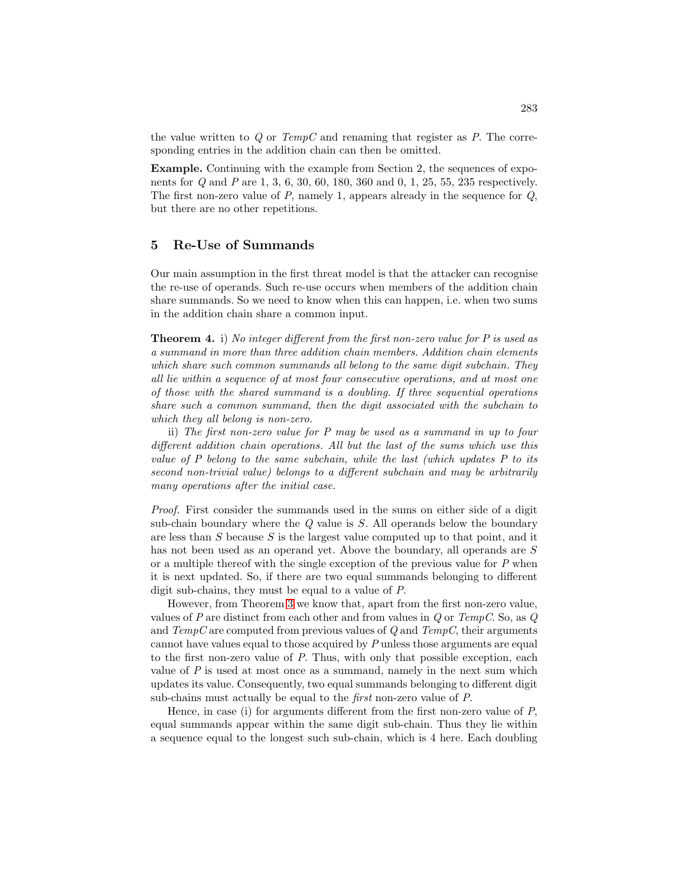the value written to  $Q$  or  $TempC$  and renaming that register as  $P$ . The corresponding entries in the addition chain can then be omitted.

Example. Continuing with the example from Section 2, the sequences of exponents for Q and P are 1, 3, 6, 30, 60, 180, 360 and 0, 1, 25, 55, 235 respectively. The first non-zero value of  $P$ , namely 1, appears already in the sequence for  $Q$ , but there are no other repetitions.

# 5 Re-Use of Summands

Our main assumption in the first threat model is that the attacker can recognise the re-use of operands. Such re-use occurs when members of the addition chain share summands. So we need to know when this can happen, i.e. when two sums in the addition chain share a common input.

<span id="page-7-0"></span>**Theorem 4.** i) No integer different from the first non-zero value for  $P$  is used as a summand in more than three addition chain members. Addition chain elements which share such common summands all belong to the same digit subchain. They all lie within a sequence of at most four consecutive operations, and at most one of those with the shared summand is a doubling. If three sequential operations share such a common summand, then the digit associated with the subchain to which they all belong is non-zero.

ii) The first non-zero value for P may be used as a summand in up to four different addition chain operations. All but the last of the sums which use this value of P belong to the same subchain, while the last (which updates P to its second non-trivial value) belongs to a different subchain and may be arbitrarily many operations after the initial case.

Proof. First consider the summands used in the sums on either side of a digit sub-chain boundary where the  $Q$  value is  $S$ . All operands below the boundary are less than  $S$  because  $S$  is the largest value computed up to that point, and it has not been used as an operand yet. Above the boundary, all operands are S or a multiple thereof with the single exception of the previous value for  $P$  when it is next updated. So, if there are two equal summands belonging to different digit sub-chains, they must be equal to a value of P.

However, from Theorem [3](#page-6-0) we know that, apart from the first non-zero value, values of P are distinct from each other and from values in  $Q$  or  $TempC$ . So, as  $Q$ and  $TempC$  are computed from previous values of Q and  $TempC$ , their arguments cannot have values equal to those acquired by P unless those arguments are equal to the first non-zero value of P. Thus, with only that possible exception, each value of  $P$  is used at most once as a summand, namely in the next sum which updates its value. Consequently, two equal summands belonging to different digit sub-chains must actually be equal to the first non-zero value of P.

Hence, in case (i) for arguments different from the first non-zero value of  $P$ , equal summands appear within the same digit sub-chain. Thus they lie within a sequence equal to the longest such sub-chain, which is 4 here. Each doubling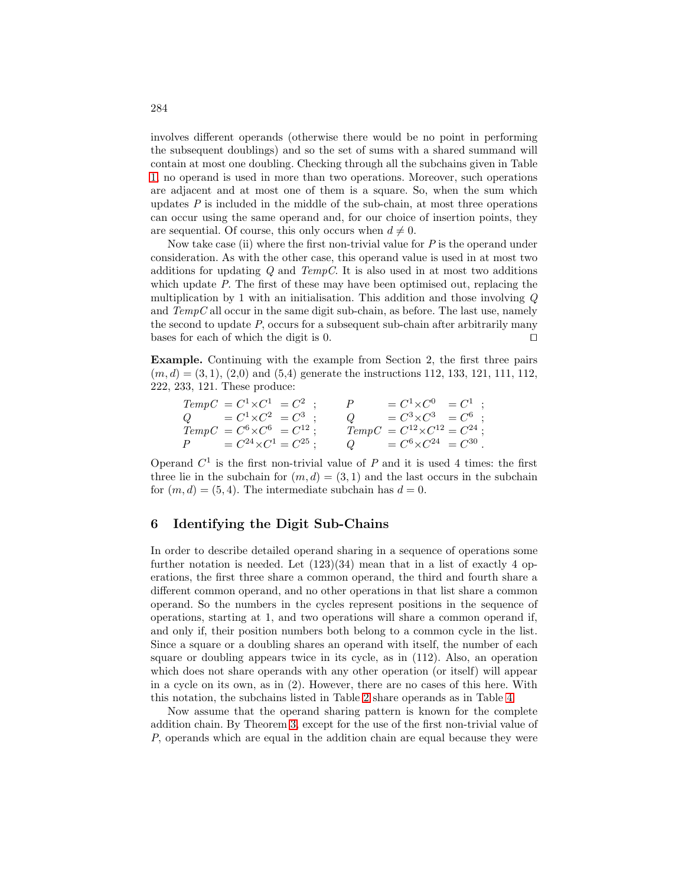involves different operands (otherwise there would be no point in performing the subsequent doublings) and so the set of sums with a shared summand will contain at most one doubling. Checking through all the subchains given in Table [1,](#page-4-0) no operand is used in more than two operations. Moreover, such operations are adjacent and at most one of them is a square. So, when the sum which updates  $P$  is included in the middle of the sub-chain, at most three operations can occur using the same operand and, for our choice of insertion points, they are sequential. Of course, this only occurs when  $d \neq 0$ .

Now take case (ii) where the first non-trivial value for  $P$  is the operand under consideration. As with the other case, this operand value is used in at most two additions for updating  $Q$  and  $TempC$ . It is also used in at most two additions which update P. The first of these may have been optimised out, replacing the multiplication by 1 with an initialisation. This addition and those involving Q and  $TempC$  all occur in the same digit sub-chain, as before. The last use, namely the second to update P, occurs for a subsequent sub-chain after arbitrarily many bases for each of which the digit is 0.  $\Box$ 

Example. Continuing with the example from Section 2, the first three pairs  $(m, d) = (3, 1), (2, 0)$  and  $(5, 4)$  generate the instructions 112, 133, 121, 111, 112, 222, 233, 121. These produce:

$$
TempC = C1 \times C1 = C2 ;\nQ = C1 \times C2 = C3 ;\nTempC = C6 \times C6 = C12 ;\nP = C24 \times C12 = C25 ;\nTempC = C4 \times C12 = C25 ;\nQ = C6 \times C24 = C30 .
$$

Operand  $C<sup>1</sup>$  is the first non-trivial value of P and it is used 4 times: the first three lie in the subchain for  $(m, d) = (3, 1)$  and the last occurs in the subchain for  $(m, d) = (5, 4)$ . The intermediate subchain has  $d = 0$ .

#### 6 Identifying the Digit Sub-Chains

In order to describe detailed operand sharing in a sequence of operations some further notation is needed. Let  $(123)(34)$  mean that in a list of exactly 4 operations, the first three share a common operand, the third and fourth share a different common operand, and no other operations in that list share a common operand. So the numbers in the cycles represent positions in the sequence of operations, starting at 1, and two operations will share a common operand if, and only if, their position numbers both belong to a common cycle in the list. Since a square or a doubling shares an operand with itself, the number of each square or doubling appears twice in its cycle, as in (112). Also, an operation which does not share operands with any other operation (or itself) will appear in a cycle on its own, as in (2). However, there are no cases of this here. With this notation, the subchains listed in Table [2](#page-4-1) share operands as in Table [4.](#page-9-0)

Now assume that the operand sharing pattern is known for the complete addition chain. By Theorem [3,](#page-6-0) except for the use of the first non-trivial value of P, operands which are equal in the addition chain are equal because they were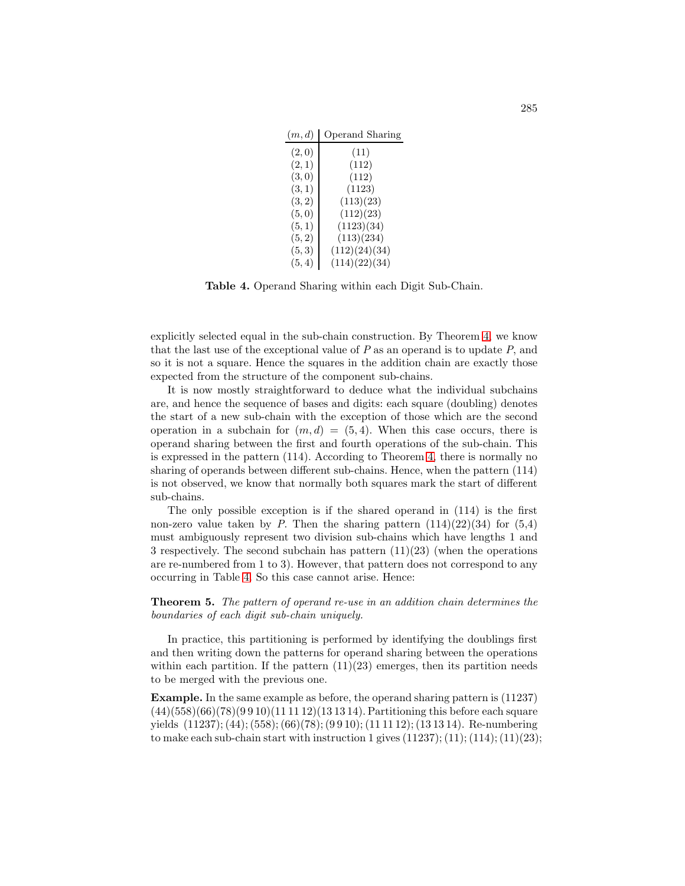| (m,d)  | Operand Sharing |
|--------|-----------------|
| (2,0)  | (11)            |
| (2,1)  | (112)           |
| (3,0)  | (112)           |
| (3, 1) | (1123)          |
| (3, 2) | (113)(23)       |
| (5,0)  | (112)(23)       |
| (5, 1) | (1123)(34)      |
| (5, 2) | (113)(234)      |
| (5, 3) | (112)(24)(34)   |
| (5, 4) | (114)(22)(34)   |

<span id="page-9-0"></span>Table 4. Operand Sharing within each Digit Sub-Chain.

explicitly selected equal in the sub-chain construction. By Theorem [4,](#page-7-0) we know that the last use of the exceptional value of  $P$  as an operand is to update  $P$ , and so it is not a square. Hence the squares in the addition chain are exactly those expected from the structure of the component sub-chains.

It is now mostly straightforward to deduce what the individual subchains are, and hence the sequence of bases and digits: each square (doubling) denotes the start of a new sub-chain with the exception of those which are the second operation in a subchain for  $(m, d) = (5, 4)$ . When this case occurs, there is operand sharing between the first and fourth operations of the sub-chain. This is expressed in the pattern (114). According to Theorem [4,](#page-7-0) there is normally no sharing of operands between different sub-chains. Hence, when the pattern (114) is not observed, we know that normally both squares mark the start of different sub-chains.

The only possible exception is if the shared operand in (114) is the first non-zero value taken by P. Then the sharing pattern  $(114)(22)(34)$  for  $(5,4)$ must ambiguously represent two division sub-chains which have lengths 1 and 3 respectively. The second subchain has pattern  $(11)(23)$  (when the operations are re-numbered from 1 to 3). However, that pattern does not correspond to any occurring in Table [4.](#page-9-0) So this case cannot arise. Hence:

Theorem 5. The pattern of operand re-use in an addition chain determines the boundaries of each digit sub-chain uniquely.

In practice, this partitioning is performed by identifying the doublings first and then writing down the patterns for operand sharing between the operations within each partition. If the pattern  $(11)(23)$  emerges, then its partition needs to be merged with the previous one.

Example. In the same example as before, the operand sharing pattern is (11237)  $(44)(558)(66)(78)(9910)(111112)(131314)$ . Partitioning this before each square yields (11237); (44); (558); (66)(78); (9 9 10); (11 11 12); (13 13 14). Re-numbering to make each sub-chain start with instruction 1 gives  $(11237); (11); (114); (11)(23);$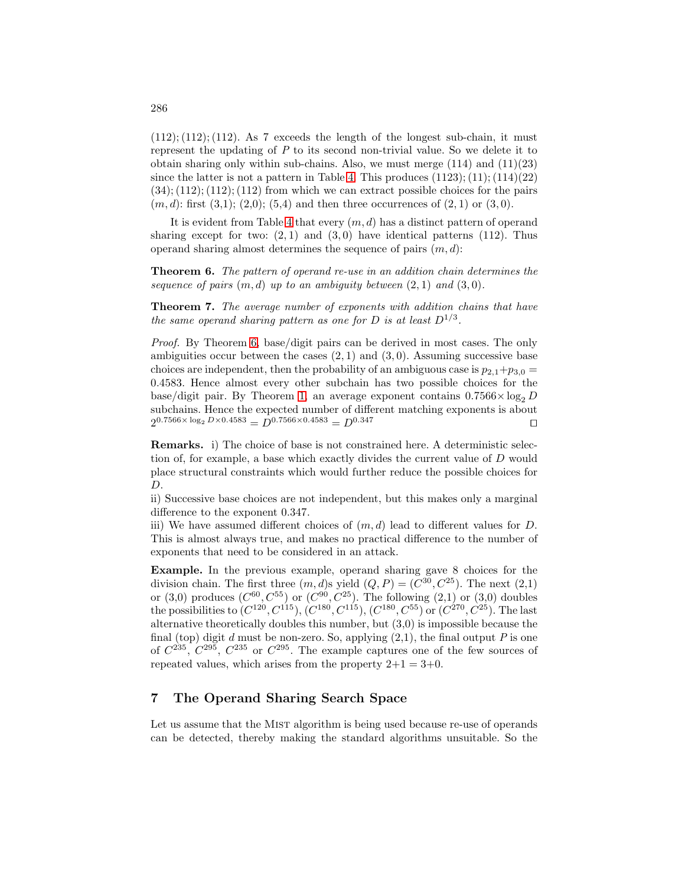$(112); (112); (112).$  As 7 exceeds the length of the longest sub-chain, it must represent the updating of  $P$  to its second non-trivial value. So we delete it to obtain sharing only within sub-chains. Also, we must merge  $(114)$  and  $(11)(23)$ since the latter is not a pattern in Table [4.](#page-9-0) This produces  $(1123)$ ;  $(11)$ ;  $(114)(22)$  $(34); (112); (112); (112)$  from which we can extract possible choices for the pairs  $(m, d)$ : first  $(3, 1)$ ;  $(2, 0)$ ;  $(5, 4)$  and then three occurrences of  $(2, 1)$  or  $(3, 0)$ .

It is evident from Table [4](#page-9-0) that every  $(m, d)$  has a distinct pattern of operand sharing except for two:  $(2,1)$  and  $(3,0)$  have identical patterns  $(112)$ . Thus operand sharing almost determines the sequence of pairs  $(m, d)$ :

<span id="page-10-0"></span>Theorem 6. The pattern of operand re-use in an addition chain determines the sequence of pairs  $(m, d)$  up to an ambiguity between  $(2, 1)$  and  $(3, 0)$ .

<span id="page-10-1"></span>Theorem 7. The average number of exponents with addition chains that have the same operand sharing pattern as one for D is at least  $D^{1/3}$ .

Proof. By Theorem [6,](#page-10-0) base/digit pairs can be derived in most cases. The only ambiguities occur between the cases  $(2, 1)$  and  $(3, 0)$ . Assuming successive base choices are independent, then the probability of an ambiguous case is  $p_{2,1}+p_{3,0}$  = 0.4583. Hence almost every other subchain has two possible choices for the base/digit pair. By Theorem [1,](#page-5-1) an average exponent contains  $0.7566 \times \log_2 D$ subchains. Hence the expected number of different matching exponents is about  $2^{0.7566 \times \log_2 D \times 0.4583} = D^{0.7566 \times 0.4583} = D^{0.347}$ 

Remarks. i) The choice of base is not constrained here. A deterministic selection of, for example, a base which exactly divides the current value of D would place structural constraints which would further reduce the possible choices for D.

ii) Successive base choices are not independent, but this makes only a marginal difference to the exponent 0.347.

iii) We have assumed different choices of  $(m, d)$  lead to different values for D. This is almost always true, and makes no practical difference to the number of exponents that need to be considered in an attack.

Example. In the previous example, operand sharing gave 8 choices for the division chain. The first three  $(m, d)$ s yield  $(Q, P) = (C^{30}, C^{25})$ . The next  $(2, 1)$ or (3,0) produces  $(C^{60}, C^{55})$  or  $(C^{90}, C^{25})$ . The following (2,1) or (3,0) doubles the possibilities to  $(C^{120}, C^{115})$ ,  $(C^{180}, C^{115})$ ,  $(C^{180}, C^{55})$  or  $(C^{270}, C^{25})$ . The last alternative theoretically doubles this number, but (3,0) is impossible because the final (top) digit d must be non-zero. So, applying  $(2,1)$ , the final output P is one of  $C^{235}$ ,  $C^{295}$ ,  $C^{235}$  or  $C^{295}$ . The example captures one of the few sources of repeated values, which arises from the property  $2+1 = 3+0$ .

# 7 The Operand Sharing Search Space

Let us assume that the MIST algorithm is being used because re-use of operands can be detected, thereby making the standard algorithms unsuitable. So the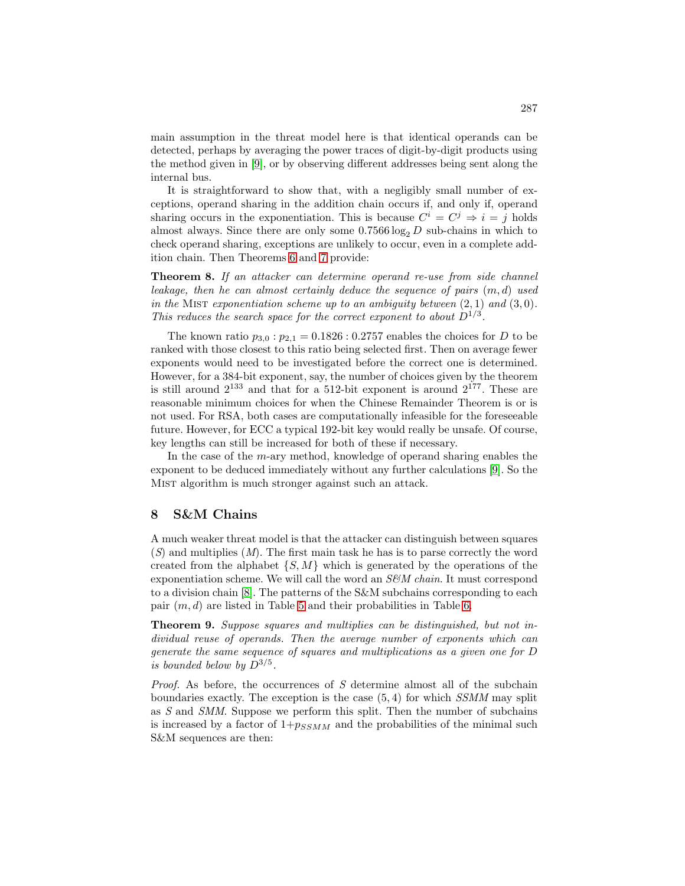main assumption in the threat model here is that identical operands can be detected, perhaps by averaging the power traces of digit-by-digit products using the method given in [\[9\]](#page-14-0), or by observing different addresses being sent along the internal bus.

It is straightforward to show that, with a negligibly small number of exceptions, operand sharing in the addition chain occurs if, and only if, operand sharing occurs in the exponentiation. This is because  $C^i = C^j \Rightarrow i = j$  holds almost always. Since there are only some  $0.7566 \log_2 D$  sub-chains in which to check operand sharing, exceptions are unlikely to occur, even in a complete addition chain. Then Theorems [6](#page-10-0) and [7](#page-10-1) provide:

Theorem 8. If an attacker can determine operand re-use from side channel leakage, then he can almost certainly deduce the sequence of pairs  $(m, d)$  used in the MIST exponentiation scheme up to an ambiguity between  $(2,1)$  and  $(3,0)$ . This reduces the search space for the correct exponent to about  $D^{1/3}$ .

The known ratio  $p_{3,0} : p_{2,1} = 0.1826 : 0.2757$  enables the choices for D to be ranked with those closest to this ratio being selected first. Then on average fewer exponents would need to be investigated before the correct one is determined. However, for a 384-bit exponent, say, the number of choices given by the theorem is still around  $2^{133}$  and that for a 512-bit exponent is around  $2^{177}$ . These are reasonable minimum choices for when the Chinese Remainder Theorem is or is not used. For RSA, both cases are computationally infeasible for the foreseeable future. However, for ECC a typical 192-bit key would really be unsafe. Of course, key lengths can still be increased for both of these if necessary.

In the case of the m-ary method, knowledge of operand sharing enables the exponent to be deduced immediately without any further calculations [\[9\]](#page-14-0). So the Mist algorithm is much stronger against such an attack.

## 8 S&M Chains

A much weaker threat model is that the attacker can distinguish between squares  $(S)$  and multiplies  $(M)$ . The first main task he has is to parse correctly the word created from the alphabet  $\{S, M\}$  which is generated by the operations of the exponentiation scheme. We will call the word an  $S\&M$  chain. It must correspond to a division chain [\[8\]](#page-14-4). The patterns of the S&M subchains corresponding to each pair  $(m, d)$  are listed in Table [5](#page-12-0) and their probabilities in Table [6.](#page-12-1)

Theorem 9. Suppose squares and multiplies can be distinguished, but not individual reuse of operands. Then the average number of exponents which can generate the same sequence of squares and multiplications as a given one for D is bounded below by  $D^{3/5}$ .

Proof. As before, the occurrences of S determine almost all of the subchain boundaries exactly. The exception is the case (5, 4) for which SSMM may split as S and SMM. Suppose we perform this split. Then the number of subchains is increased by a factor of  $1+p_{SSMM}$  and the probabilities of the minimal such S&M sequences are then: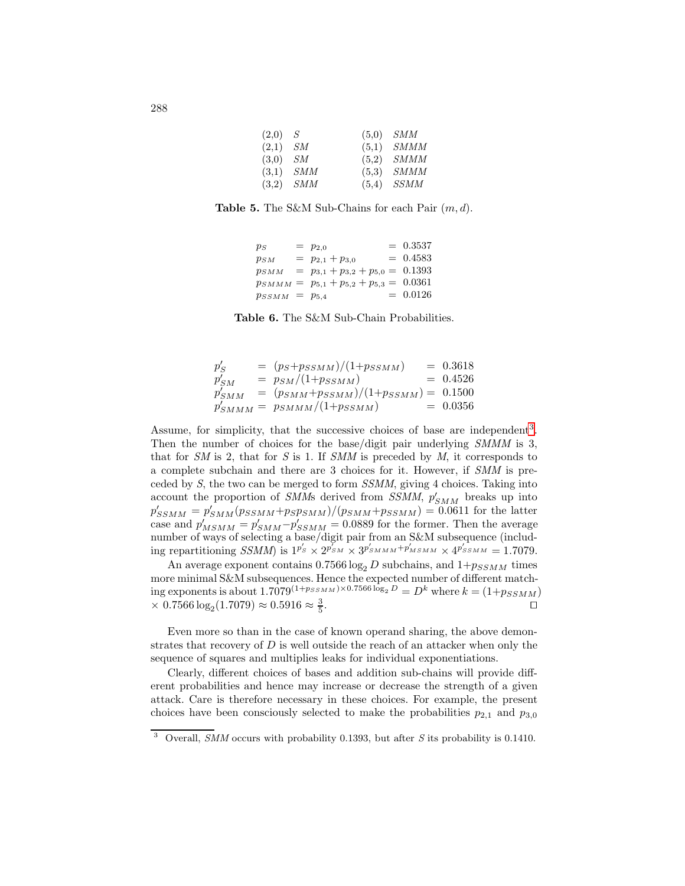| (2,0) | S   | (5,0) | SMM         |
|-------|-----|-------|-------------|
| (2,1) | SМ  | (5,1) | <i>SMMM</i> |
| (3,0) | SМ  | (5,2) | <i>SMMM</i> |
| (3,1) | SMM | (5,3) | <i>SMMM</i> |
| (3,2) | SMM | (5,4) | <i>SSMM</i> |

**Table 5.** The S&M Sub-Chains for each Pair  $(m, d)$ .

<span id="page-12-0"></span>

| $p_S$                | $= p_{2,0}$                                       | $= 0.3537$ |
|----------------------|---------------------------------------------------|------------|
| $p_{SM}$             | $= p_{2,1} + p_{3,0}$                             | $= 0.4583$ |
| $p_{SMM}$            | $= p_{3,1} + p_{3,2} + p_{5,0} = 0.1393$          |            |
|                      | $p_{SMMM} = p_{5,1} + p_{5,2} + p_{5,3} = 0.0361$ |            |
| $p_{SSMM} = p_{5,4}$ |                                                   | $= 0.0126$ |

<span id="page-12-1"></span>Table 6. The S&M Sub-Chain Probabilities.

| $p'_{S}$   | $= (p_S + p_{SSMM})/(1 + p_{SSMM})$              | $= 0.3618$ |
|------------|--------------------------------------------------|------------|
| $p'_{SM}$  | $= p_{SM}/(1 + p_{SSMM})$                        | $= 0.4526$ |
| $p'_{SMM}$ | $= (p_{SMM} + p_{SSMM})/(1 + p_{SSMM}) = 0.1500$ |            |
|            | $p'_{SMMM} = p_{SMMM}/(1 + p_{SSMM})$            | $= 0.0356$ |

Assume, for simplicity, that the successive choices of base are independent<sup>[3](#page-12-2)</sup>. Then the number of choices for the base/digit pair underlying SMMM is 3, that for SM is 2, that for S is 1. If SMM is preceded by M, it corresponds to a complete subchain and there are 3 choices for it. However, if SMM is preceded by S, the two can be merged to form SSMM, giving 4 choices. Taking into account the proportion of *SMM*s derived from *SSMM*,  $p'_{SMM}$  breaks up into  $p'_{SSMM} = p'_{SMM}(p_{SSMM}+p_{SPSMM})/(p_{SMM}+p_{SSMM}) = 0.0611$  for the latter case and  $p'_{MSMM} = p'_{SMM} - p'_{SSMM} = 0.0889$  for the former. Then the average number of ways of selecting a base/digit pair from an S&M subsequence (including repartitioning SSMM) is  $1^{p'_S} \times 2^{p'_{SM}} \times 3^{p'_{SMMM} + p'_{MSMM}} \times 4^{p'_{SSMM}} = 1.7079$ .

An average exponent contains  $0.7566 \log_2 D$  subchains, and  $1+p_{SSMM}$  times more minimal S&M subsequences. Hence the expected number of different matching exponents is about 1.7079<sup>(1+p<sub>SSMM</sub>)×0.7566 log<sub>2</sub>  $D = D^k$  where  $k = (1 + p_{SSMM})$ </sup>  $\times 0.7566 \log_2(1.7079) \approx 0.5916 \approx \frac{3}{5}$ . The contract of the contract of the contract of the contract of the contract of the contract of the contract of the contract of the contract of the contract of the contract of the contract of the contract of the contract

Even more so than in the case of known operand sharing, the above demonstrates that recovery of  $D$  is well outside the reach of an attacker when only the sequence of squares and multiplies leaks for individual exponentiations.

Clearly, different choices of bases and addition sub-chains will provide different probabilities and hence may increase or decrease the strength of a given attack. Care is therefore necessary in these choices. For example, the present choices have been consciously selected to make the probabilities  $p_{2,1}$  and  $p_{3,0}$ 

<span id="page-12-2"></span><sup>&</sup>lt;sup>3</sup> Overall, *SMM* occurs with probability 0.1393, but after *S* its probability is 0.1410.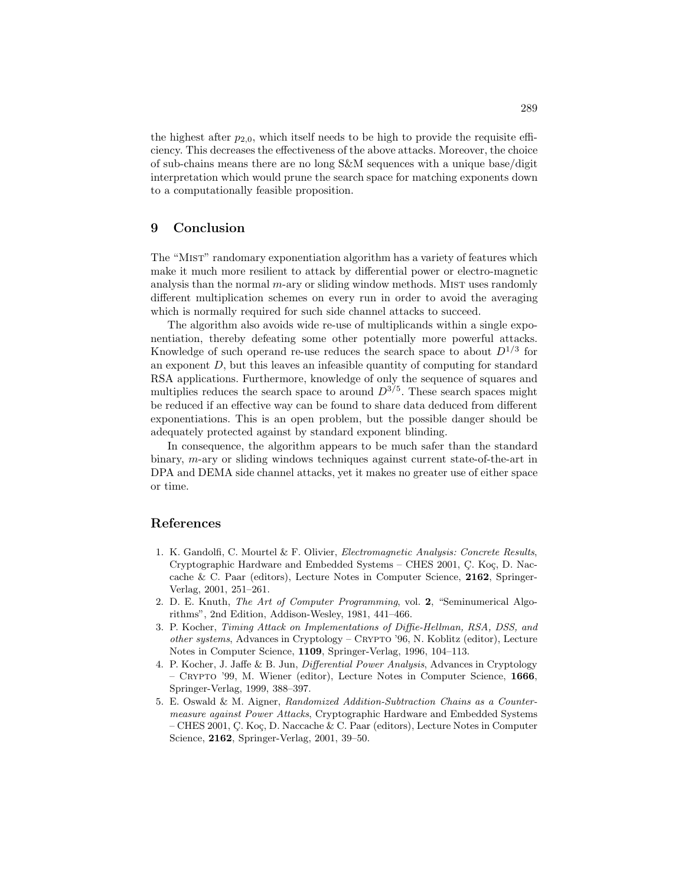the highest after  $p_{2,0}$ , which itself needs to be high to provide the requisite efficiency. This decreases the effectiveness of the above attacks. Moreover, the choice of sub-chains means there are no long S&M sequences with a unique base/digit interpretation which would prune the search space for matching exponents down to a computationally feasible proposition.

## 9 Conclusion

The "Mist" randomary exponentiation algorithm has a variety of features which make it much more resilient to attack by differential power or electro-magnetic analysis than the normal  $m$ -ary or sliding window methods. MIST uses randomly different multiplication schemes on every run in order to avoid the averaging which is normally required for such side channel attacks to succeed.

The algorithm also avoids wide re-use of multiplicands within a single exponentiation, thereby defeating some other potentially more powerful attacks. Knowledge of such operand re-use reduces the search space to about  $D^{1/3}$  for an exponent D, but this leaves an infeasible quantity of computing for standard RSA applications. Furthermore, knowledge of only the sequence of squares and multiplies reduces the search space to around  $D^{3/5}$ . These search spaces might be reduced if an effective way can be found to share data deduced from different exponentiations. This is an open problem, but the possible danger should be adequately protected against by standard exponent blinding.

In consequence, the algorithm appears to be much safer than the standard binary, m-ary or sliding windows techniques against current state-of-the-art in DPA and DEMA side channel attacks, yet it makes no greater use of either space or time.

## References

- <span id="page-13-2"></span>1. K. Gandolfi, C. Mourtel & F. Olivier, Electromagnetic Analysis: Concrete Results, Cryptographic Hardware and Embedded Systems – CHES 2001, C. Koç, D. Naccache & C. Paar (editors), Lecture Notes in Computer Science, 2162, Springer-Verlag, 2001, 251–261.
- <span id="page-13-3"></span>2. D. E. Knuth, The Art of Computer Programming, vol. 2, "Seminumerical Algorithms", 2nd Edition, Addison-Wesley, 1981, 441–466.
- <span id="page-13-0"></span>3. P. Kocher, Timing Attack on Implementations of Diffie-Hellman, RSA, DSS, and other systems, Advances in Cryptology – Crypto '96, N. Koblitz (editor), Lecture Notes in Computer Science, 1109, Springer-Verlag, 1996, 104–113.
- <span id="page-13-1"></span>4. P. Kocher, J. Jaffe & B. Jun, Differential Power Analysis, Advances in Cryptology – Crypto '99, M. Wiener (editor), Lecture Notes in Computer Science, 1666, Springer-Verlag, 1999, 388–397.
- <span id="page-13-4"></span>5. E. Oswald & M. Aigner, Randomized Addition-Subtraction Chains as a Countermeasure against Power Attacks, Cryptographic Hardware and Embedded Systems – CHES 2001, C¸ . Ko¸c, D. Naccache & C. Paar (editors), Lecture Notes in Computer Science, 2162, Springer-Verlag, 2001, 39–50.